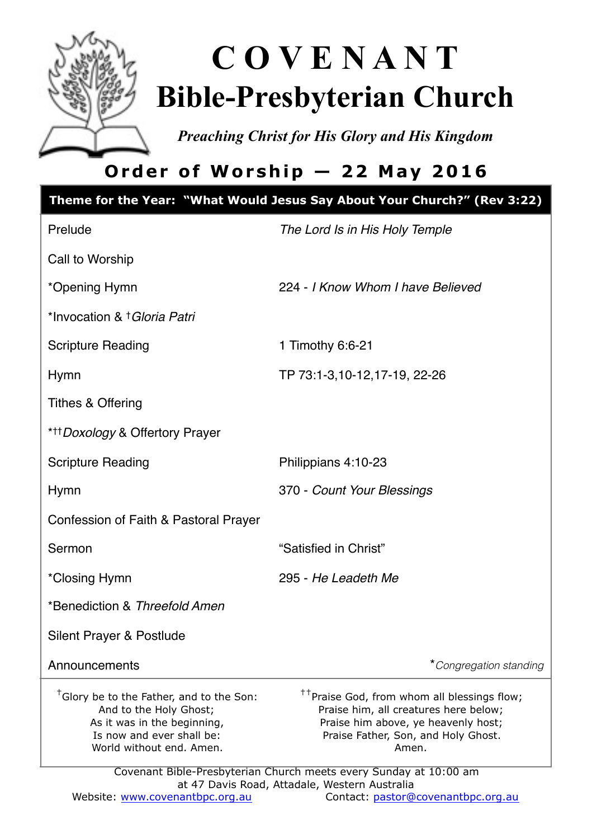

# **C O V E N A N T Bible-Presbyterian Church**

*Preaching Christ for His Glory and His Kingdom* 

# **Order of Worship — 22 May 2016**

|                                                                                                                                                                        | Theme for the Year: "What Would Jesus Say About Your Church?" (Rev 3:22)                                                                                                                |  |  |  |
|------------------------------------------------------------------------------------------------------------------------------------------------------------------------|-----------------------------------------------------------------------------------------------------------------------------------------------------------------------------------------|--|--|--|
| Prelude                                                                                                                                                                | The Lord Is in His Holy Temple                                                                                                                                                          |  |  |  |
| Call to Worship                                                                                                                                                        |                                                                                                                                                                                         |  |  |  |
| *Opening Hymn                                                                                                                                                          | 224 - I Know Whom I have Believed                                                                                                                                                       |  |  |  |
| *Invocation & † Gloria Patri                                                                                                                                           |                                                                                                                                                                                         |  |  |  |
| <b>Scripture Reading</b>                                                                                                                                               | 1 Timothy 6:6-21                                                                                                                                                                        |  |  |  |
| Hymn                                                                                                                                                                   | TP 73:1-3,10-12,17-19, 22-26                                                                                                                                                            |  |  |  |
| <b>Tithes &amp; Offering</b>                                                                                                                                           |                                                                                                                                                                                         |  |  |  |
| * <sup>+++</sup> Doxology & Offertory Prayer                                                                                                                           |                                                                                                                                                                                         |  |  |  |
| <b>Scripture Reading</b>                                                                                                                                               | Philippians 4:10-23                                                                                                                                                                     |  |  |  |
| <b>Hymn</b>                                                                                                                                                            | 370 - Count Your Blessings                                                                                                                                                              |  |  |  |
| Confession of Faith & Pastoral Prayer                                                                                                                                  |                                                                                                                                                                                         |  |  |  |
| Sermon                                                                                                                                                                 | "Satisfied in Christ"                                                                                                                                                                   |  |  |  |
| *Closing Hymn                                                                                                                                                          | 295 - He Leadeth Me                                                                                                                                                                     |  |  |  |
| *Benediction & Threefold Amen                                                                                                                                          |                                                                                                                                                                                         |  |  |  |
| Silent Prayer & Postlude                                                                                                                                               |                                                                                                                                                                                         |  |  |  |
| Announcements                                                                                                                                                          | *Congregation standing                                                                                                                                                                  |  |  |  |
| <sup>†</sup> Glory be to the Father, and to the Son:<br>And to the Holy Ghost;<br>As it was in the beginning,<br>Is now and ever shall be:<br>World without end. Amen. | <sup>††</sup> Praise God, from whom all blessings flow;<br>Praise him, all creatures here below;<br>Praise him above, ye heavenly host;<br>Praise Father, Son, and Holy Ghost.<br>Amen. |  |  |  |
| Covenant Bible-Presbyterian Church meets every Sunday at 10:00 am                                                                                                      |                                                                                                                                                                                         |  |  |  |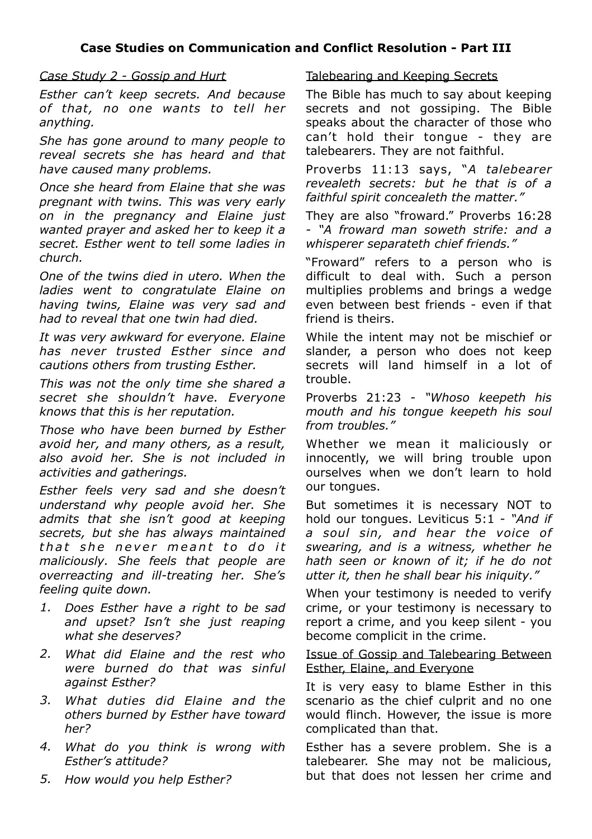#### *Case Study 2 - Gossip and Hurt*

*Esther can't keep secrets. And because of that, no one wants to tell her anything.* 

*She has gone around to many people to reveal secrets she has heard and that have caused many problems.* 

*Once she heard from Elaine that she was pregnant with twins. This was very early on in the pregnancy and Elaine just wanted prayer and asked her to keep it a secret. Esther went to tell some ladies in church.* 

*One of the twins died in utero. When the ladies went to congratulate Elaine on having twins, Elaine was very sad and had to reveal that one twin had died.* 

*It was very awkward for everyone. Elaine has never trusted Esther since and cautions others from trusting Esther.* 

*This was not the only time she shared a secret she shouldn't have. Everyone knows that this is her reputation.* 

*Those who have been burned by Esther avoid her, and many others, as a result, also avoid her. She is not included in activities and gatherings.* 

*Esther feels very sad and she doesn't understand why people avoid her. She admits that she isn't good at keeping secrets, but she has always maintained*  that she never meant to do it *maliciously. She feels that people are overreacting and ill-treating her. She's feeling quite down.* 

- *1. Does Esther have a right to be sad and upset? Isn't she just reaping what she deserves?*
- *2. What did Elaine and the rest who were burned do that was sinful against Esther?*
- *3. What duties did Elaine and the others burned by Esther have toward her?*
- *4. What do you think is wrong with Esther's attitude?*
- *5. How would you help Esther?*

#### Talebearing and Keeping Secrets

The Bible has much to say about keeping secrets and not gossiping. The Bible speaks about the character of those who can't hold their tongue - they are talebearers. They are not faithful.

Proverbs 11:13 says, "*A talebearer revealeth secrets: but he that is of a faithful spirit concealeth the matter."*

They are also "froward." Proverbs 16:28 - *"A froward man soweth strife: and a whisperer separateth chief friends."*

"Froward" refers to a person who is difficult to deal with. Such a person multiplies problems and brings a wedge even between best friends - even if that friend is theirs.

While the intent may not be mischief or slander, a person who does not keep secrets will land himself in a lot of trouble.

Proverbs 21:23 - *"Whoso keepeth his mouth and his tongue keepeth his soul from troubles."*

Whether we mean it maliciously or innocently, we will bring trouble upon ourselves when we don't learn to hold our tongues.

But sometimes it is necessary NOT to hold our tongues. Leviticus 5:1 - *"And if a soul sin, and hear the voice of swearing, and is a witness, whether he hath seen or known of it; if he do not utter it, then he shall bear his iniquity."*

When your testimony is needed to verify crime, or your testimony is necessary to report a crime, and you keep silent - you become complicit in the crime.

#### Issue of Gossip and Talebearing Between Esther, Elaine, and Everyone

It is very easy to blame Esther in this scenario as the chief culprit and no one would flinch. However, the issue is more complicated than that.

Esther has a severe problem. She is a talebearer. She may not be malicious, but that does not lessen her crime and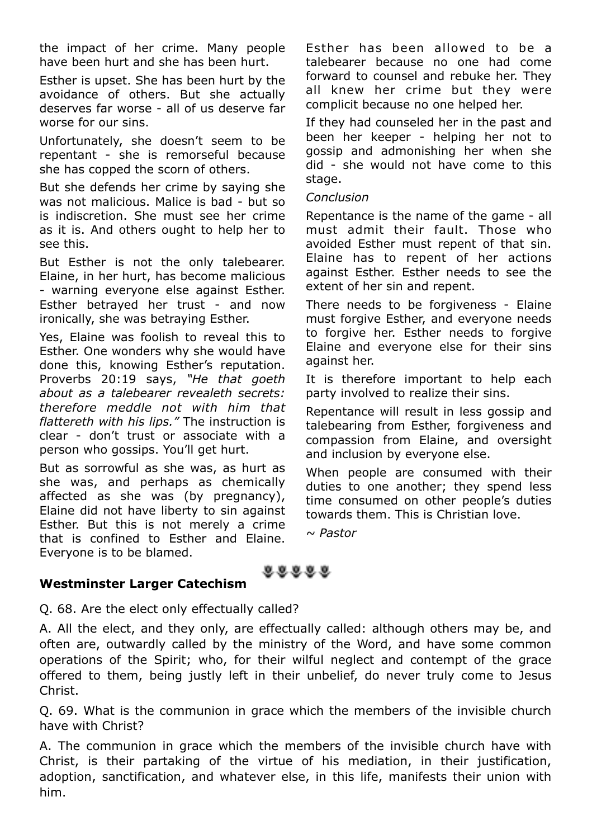the impact of her crime. Many people have been hurt and she has been hurt.

Esther is upset. She has been hurt by the avoidance of others. But she actually deserves far worse - all of us deserve far worse for our sins.

Unfortunately, she doesn't seem to be repentant - she is remorseful because she has copped the scorn of others.

But she defends her crime by saying she was not malicious. Malice is bad - but so is indiscretion. She must see her crime as it is. And others ought to help her to see this.

But Esther is not the only talebearer. Elaine, in her hurt, has become malicious - warning everyone else against Esther. Esther betrayed her trust - and now ironically, she was betraying Esther.

Yes, Elaine was foolish to reveal this to Esther. One wonders why she would have done this, knowing Esther's reputation. Proverbs 20:19 says, *"He that goeth about as a talebearer revealeth secrets: therefore meddle not with him that flattereth with his lips."* The instruction is clear - don't trust or associate with a person who gossips. You'll get hurt.

But as sorrowful as she was, as hurt as she was, and perhaps as chemically affected as she was (by pregnancy), Elaine did not have liberty to sin against Esther. But this is not merely a crime that is confined to Esther and Elaine. Everyone is to be blamed.

Esther has been allowed to be a talebearer because no one had come forward to counsel and rebuke her. They all knew her crime but they were complicit because no one helped her.

If they had counseled her in the past and been her keeper - helping her not to gossip and admonishing her when she did - she would not have come to this stage.

#### *Conclusion*

Repentance is the name of the game - all must admit their fault. Those who avoided Esther must repent of that sin. Elaine has to repent of her actions against Esther. Esther needs to see the extent of her sin and repent.

There needs to be forgiveness - Elaine must forgive Esther, and everyone needs to forgive her. Esther needs to forgive Elaine and everyone else for their sins against her.

It is therefore important to help each party involved to realize their sins.

Repentance will result in less gossip and talebearing from Esther, forgiveness and compassion from Elaine, and oversight and inclusion by everyone else.

When people are consumed with their duties to one another; they spend less time consumed on other people's duties towards them. This is Christian love.

*~ Pastor*

#### **Westminster Larger Catechism**

Q. 68. Are the elect only effectually called?

A. All the elect, and they only, are effectually called: although others may be, and often are, outwardly called by the ministry of the Word, and have some common operations of the Spirit; who, for their wilful neglect and contempt of the grace offered to them, being justly left in their unbelief, do never truly come to Jesus Christ.

88888

Q. 69. What is the communion in grace which the members of the invisible church have with Christ?

A. The communion in grace which the members of the invisible church have with Christ, is their partaking of the virtue of his mediation, in their justification, adoption, sanctification, and whatever else, in this life, manifests their union with him.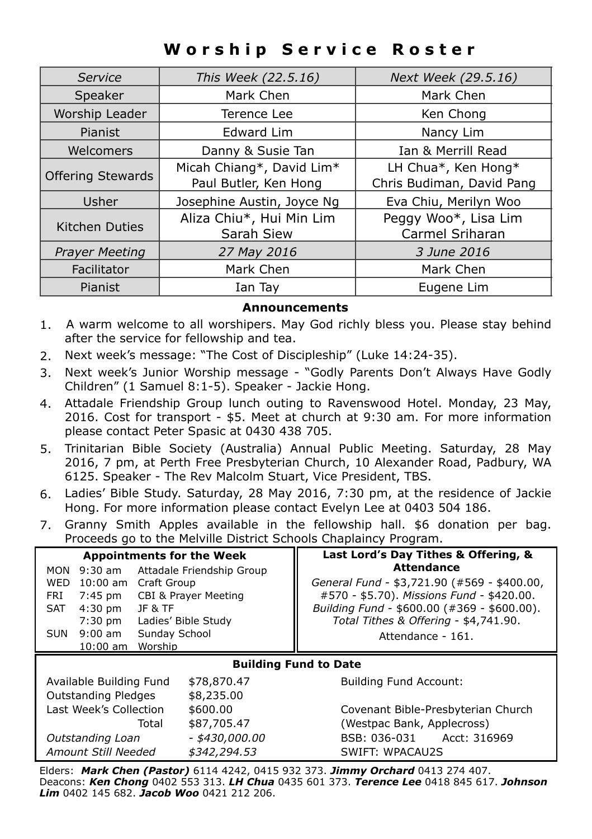# **Worship Service Roster**

| Service                  | This Week (22.5.16)                                | Next Week (29.5.16)                              |
|--------------------------|----------------------------------------------------|--------------------------------------------------|
| Speaker                  | Mark Chen                                          | Mark Chen                                        |
| Worship Leader           | Terence Lee                                        | Ken Chong                                        |
| Pianist                  | <b>Edward Lim</b>                                  | Nancy Lim                                        |
| Welcomers                | Danny & Susie Tan                                  | Ian & Merrill Read                               |
| <b>Offering Stewards</b> | Micah Chiang*, David Lim*<br>Paul Butler, Ken Hong | LH Chua*, Ken Hong*<br>Chris Budiman, David Pang |
| Usher                    | Josephine Austin, Joyce Ng                         | Eva Chiu, Merilyn Woo                            |
| <b>Kitchen Duties</b>    | Aliza Chiu*, Hui Min Lim<br>Sarah Siew             | Peggy Woo*, Lisa Lim<br>Carmel Sriharan          |
| <b>Prayer Meeting</b>    | 27 May 2016                                        | 3 June 2016                                      |
| Facilitator              | Mark Chen                                          | Mark Chen                                        |
| Pianist                  | Ian Tay                                            | Eugene Lim                                       |

#### **Announcements**

- 1. A warm welcome to all worshipers. May God richly bless you. Please stay behind after the service for fellowship and tea.
- 2. Next week's message: "The Cost of Discipleship" (Luke 14:24-35).
- 3. Next week's Junior Worship message "Godly Parents Don't Always Have Godly Children" (1 Samuel 8:1-5). Speaker - Jackie Hong.
- 4. Attadale Friendship Group lunch outing to Ravenswood Hotel. Monday, 23 May, 2016. Cost for transport - \$5. Meet at church at 9:30 am. For more information please contact Peter Spasic at 0430 438 705.
- 5. Trinitarian Bible Society (Australia) Annual Public Meeting. Saturday, 28 May 2016, 7 pm, at Perth Free Presbyterian Church, 10 Alexander Road, Padbury, WA 6125. Speaker - The Rev Malcolm Stuart, Vice President, TBS.
- 6. Ladies' Bible Study. Saturday, 28 May 2016, 7:30 pm, at the residence of Jackie Hong. For more information please contact Evelyn Lee at 0403 504 186.
- 7. Granny Smith Apples available in the fellowship hall. \$6 donation per bag. Proceeds go to the Melville District Schools Chaplaincy Program.

|                                                   |                              | Last Lord's Day Tithes & Offering, &        |                                    |
|---------------------------------------------------|------------------------------|---------------------------------------------|------------------------------------|
| <b>Appointments for the Week</b>                  |                              | <b>Attendance</b>                           |                                    |
| $9:30$ am<br>MON                                  | Attadale Friendship Group    |                                             |                                    |
| 10:00 am Craft Group<br>WED                       |                              | General Fund - \$3,721.90 (#569 - \$400.00, |                                    |
| <b>CBI &amp; Prayer Meeting</b><br>7:45 pm<br>FRI |                              | #570 - \$5.70). Missions Fund - \$420.00.   |                                    |
| $4:30$ pm<br><b>JF &amp; TF</b><br><b>SAT</b>     |                              | Building Fund - \$600.00 (#369 - \$600.00). |                                    |
| Ladies' Bible Study<br>7:30 pm                    |                              | Total Tithes & Offering - \$4,741.90.       |                                    |
| $9:00$ am<br>Sunday School<br>SUN                 |                              | Attendance - 161.                           |                                    |
|                                                   |                              |                                             |                                    |
| Worship<br>$10:00$ am                             |                              |                                             |                                    |
|                                                   | <b>Building Fund to Date</b> |                                             |                                    |
| Available Building Fund                           | \$78,870.47                  | <b>Building Fund Account:</b>               |                                    |
| <b>Outstanding Pledges</b>                        | \$8,235.00                   |                                             |                                    |
| Last Week's Collection                            | \$600.00                     |                                             | Covenant Bible-Presbyterian Church |
| Total                                             | \$87,705.47                  | (Westpac Bank, Applecross)                  |                                    |

Elders: *Mark Chen (Pastor)* 6114 4242, 0415 932 373. *Jimmy Orchard* 0413 274 407. Deacons: *Ken Chong* 0402 553 313. *LH Chua* 0435 601 373. *Terence Lee* 0418 845 617. *Johnson Lim* 0402 145 682. *Jacob Woo* 0421 212 206.

*Amount Still Needed \$342,294.53* SWIFT: WPACAU2S